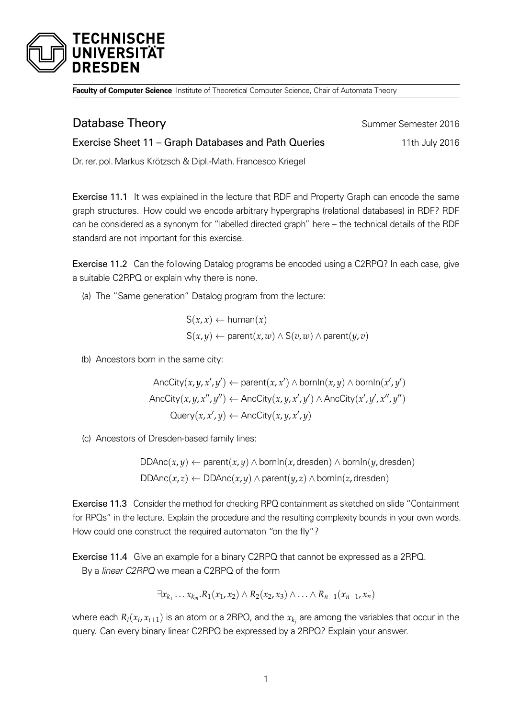

**Faculty of Computer Science** Institute of Theoretical Computer Science, Chair of Automata Theory

| Database Theory                                               | Summer Semester 2016 |
|---------------------------------------------------------------|----------------------|
| Exercise Sheet 11 – Graph Databases and Path Queries          | 11th July 2016       |
| Dr. rer. pol. Markus Krötzsch & Dipl.-Math. Francesco Kriegel |                      |

Exercise 11.1 It was explained in the lecture that RDF and Property Graph can encode the same graph structures. How could we encode arbitrary hypergraphs (relational databases) in RDF? RDF can be considered as a synonym for "labelled directed graph" here – the technical details of the RDF standard are not important for this exercise.

Exercise 11.2 Can the following Datalog programs be encoded using a C2RPQ? In each case, give a suitable C2RPQ or explain why there is none.

(a) The "Same generation" Datalog program from the lecture:

$$
S(x, x) \leftarrow \text{human}(x)
$$
  

$$
S(x, y) \leftarrow \text{parent}(x, w) \land S(v, w) \land \text{parent}(y, v)
$$

(b) Ancestors born in the same city:

$$
\text{AncCity}(x, y, x', y') \leftarrow \text{parent}(x, x') \land \text{bornIn}(x, y) \land \text{bornIn}(x', y')
$$
\n
$$
\text{AncCity}(x, y, x'', y'') \leftarrow \text{AncCity}(x, y, x', y') \land \text{AncCity}(x', y', x'', y'')
$$
\n
$$
\text{Query}(x, x', y) \leftarrow \text{AncCity}(x, y, x', y)
$$

(c) Ancestors of Dresden-based family lines:

DDAnc(*x*, *y*) ← parent(*x*, *y*) ∧ bornIn(*x*, dresden) ∧ bornIn(*y*, dresden) DDAnc(*x*, *z*) ← DDAnc(*x*, *y*) ∧ parent(*y*, *z*) ∧ bornIn(*z*, dresden)

Exercise 11.3 Consider the method for checking RPQ containment as sketched on slide "Containment for RPQs" in the lecture. Explain the procedure and the resulting complexity bounds in your own words. How could one construct the required automaton "on the fly"?

Exercise 11.4 Give an example for a binary C2RPQ that cannot be expressed as a 2RPQ. By a linear C2RPQ we mean a C2RPQ of the form

$$
\exists x_{k_1} \ldots x_{k_m}. R_1(x_1, x_2) \wedge R_2(x_2, x_3) \wedge \ldots \wedge R_{n-1}(x_{n-1}, x_n)
$$

where each  $R_i(x_i,x_{i+1})$  is an atom or a 2RPQ, and the  $x_{k_j}$  are among the variables that occur in the query. Can every binary linear C2RPQ be expressed by a 2RPQ? Explain your answer.